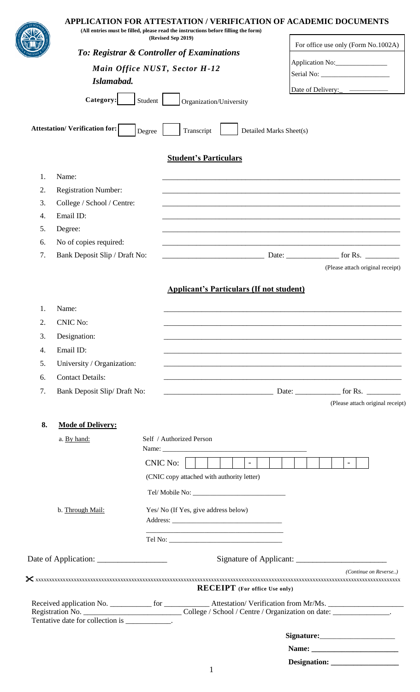|                                             |                                                        |         | APPLICATION FOR ATTESTATION / VERIFICATION OF ACADEMIC DOCUMENTS<br>(All entries must be filled, please read the instructions before filling the form)<br>(Revised Sep 2019) |                         |                                     |  |
|---------------------------------------------|--------------------------------------------------------|---------|------------------------------------------------------------------------------------------------------------------------------------------------------------------------------|-------------------------|-------------------------------------|--|
|                                             |                                                        |         | To: Registrar & Controller of Examinations                                                                                                                                   |                         | For office use only (Form No.1002A) |  |
| Main Office NUST, Sector H-12<br>Islamabad. |                                                        |         |                                                                                                                                                                              |                         | Application No:                     |  |
|                                             |                                                        |         |                                                                                                                                                                              |                         |                                     |  |
|                                             |                                                        |         |                                                                                                                                                                              |                         |                                     |  |
|                                             | Category:                                              | Student | Organization/University                                                                                                                                                      |                         |                                     |  |
|                                             | <b>Attestation/Verification for:</b>                   | Degree  | Transcript                                                                                                                                                                   | Detailed Marks Sheet(s) |                                     |  |
|                                             |                                                        |         | <b>Student's Particulars</b>                                                                                                                                                 |                         |                                     |  |
| 1.                                          | Name:                                                  |         |                                                                                                                                                                              |                         |                                     |  |
| 2.                                          | <b>Registration Number:</b>                            |         |                                                                                                                                                                              |                         |                                     |  |
| 3.                                          | College / School / Centre:                             |         |                                                                                                                                                                              |                         |                                     |  |
| 4.                                          | Email ID:                                              |         |                                                                                                                                                                              |                         |                                     |  |
| 5.                                          | Degree:                                                |         |                                                                                                                                                                              |                         |                                     |  |
| 6.                                          | No of copies required:                                 |         |                                                                                                                                                                              |                         |                                     |  |
| 7.                                          | Bank Deposit Slip / Draft No:                          |         |                                                                                                                                                                              |                         | (Please attach original receipt)    |  |
|                                             |                                                        |         | <b>Applicant's Particulars (If not student)</b>                                                                                                                              |                         |                                     |  |
| 1.                                          | Name:                                                  |         |                                                                                                                                                                              |                         |                                     |  |
| 2.                                          | <b>CNIC No:</b>                                        |         |                                                                                                                                                                              |                         |                                     |  |
| 3.                                          | Designation:                                           |         |                                                                                                                                                                              |                         |                                     |  |
| 4.                                          | Email ID:                                              |         |                                                                                                                                                                              |                         |                                     |  |
| 5.                                          | University / Organization:                             |         |                                                                                                                                                                              |                         |                                     |  |
| 6.                                          |                                                        |         |                                                                                                                                                                              |                         |                                     |  |
| 7.                                          | <b>Contact Details:</b><br>Bank Deposit Slip/Draft No: |         | <u> 1989 - Johann Stoff, deutscher Stoff, der Stoff, der Stoff, der Stoff, der Stoff, der Stoff, der Stoff, der S</u>                                                        |                         |                                     |  |
|                                             |                                                        |         |                                                                                                                                                                              |                         | (Please attach original receipt)    |  |
| 8.                                          | <b>Mode of Delivery:</b>                               |         |                                                                                                                                                                              |                         |                                     |  |
|                                             | a. By hand:                                            |         | Self / Authorized Person                                                                                                                                                     |                         |                                     |  |
|                                             |                                                        |         |                                                                                                                                                                              |                         |                                     |  |
|                                             |                                                        |         | CNIC No:<br>$\sim 1$ .<br>$\blacksquare$                                                                                                                                     |                         |                                     |  |
|                                             |                                                        |         | (CNIC copy attached with authority letter)                                                                                                                                   |                         |                                     |  |
|                                             |                                                        |         |                                                                                                                                                                              |                         |                                     |  |
|                                             | b. Through Mail:                                       |         | Yes/ No (If Yes, give address below)                                                                                                                                         |                         |                                     |  |
|                                             |                                                        |         |                                                                                                                                                                              |                         |                                     |  |
|                                             |                                                        |         |                                                                                                                                                                              |                         |                                     |  |
|                                             |                                                        |         |                                                                                                                                                                              |                         |                                     |  |
|                                             |                                                        |         | <b>RECEIPT</b> (For office Use only)                                                                                                                                         |                         | (Continue on Reverse)               |  |
|                                             |                                                        |         |                                                                                                                                                                              |                         |                                     |  |
|                                             | Tentative date for collection is ___________.          |         | Registration No. ________________________________College / School / Centre / Organization on date: __________________.                                                       |                         |                                     |  |
|                                             |                                                        |         |                                                                                                                                                                              |                         |                                     |  |
|                                             |                                                        |         |                                                                                                                                                                              |                         |                                     |  |
|                                             |                                                        |         |                                                                                                                                                                              |                         |                                     |  |
|                                             |                                                        |         |                                                                                                                                                                              |                         |                                     |  |